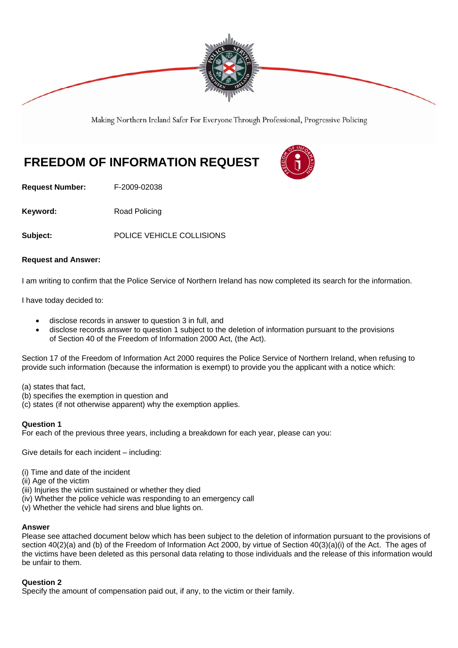

Making Northern Ireland Safer For Everyone Through Professional, Progressive Policing

# **FREEDOM OF INFORMATION REQUEST**

**Request Number:** F-2009-02038

**Keyword:** Road Policing

**Subject:** POLICE VEHICLE COLLISIONS

# **Request and Answer:**

I am writing to confirm that the Police Service of Northern Ireland has now completed its search for the information.

I have today decided to:

- disclose records in answer to question 3 in full, and
- disclose records answer to question 1 subject to the deletion of information pursuant to the provisions of Section 40 of the Freedom of Information 2000 Act, (the Act).

Section 17 of the Freedom of Information Act 2000 requires the Police Service of Northern Ireland, when refusing to provide such information (because the information is exempt) to provide you the applicant with a notice which:

- (a) states that fact,
- (b) specifies the exemption in question and
- (c) states (if not otherwise apparent) why the exemption applies.

## **Question 1**

For each of the previous three years, including a breakdown for each year, please can you:

Give details for each incident – including:

- (i) Time and date of the incident
- (ii) Age of the victim
- (iii) Injuries the victim sustained or whether they died
- (iv) Whether the police vehicle was responding to an emergency call
- (v) Whether the vehicle had sirens and blue lights on.

## **Answer**

Please see attached document below which has been subject to the deletion of information pursuant to the provisions of section 40(2)(a) and (b) of the Freedom of Information Act 2000, by virtue of Section 40(3)(a)(i) of the Act. The ages of the victims have been deleted as this personal data relating to those individuals and the release of this information would be unfair to them.

## **Question 2**

Specify the amount of compensation paid out, if any, to the victim or their family.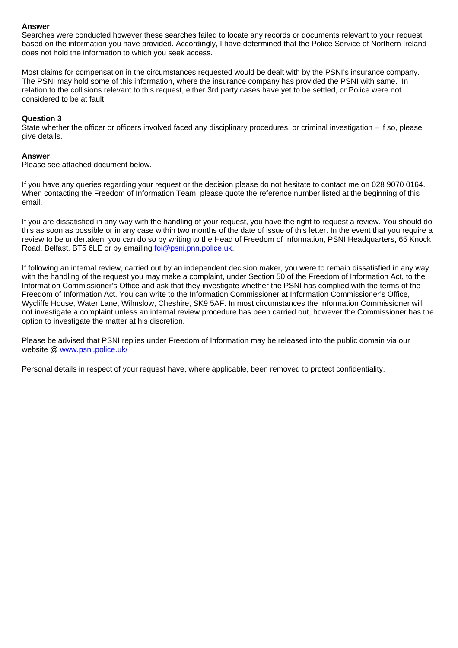## **Answer**

Searches were conducted however these searches failed to locate any records or documents relevant to your request based on the information you have provided. Accordingly, I have determined that the Police Service of Northern Ireland does not hold the information to which you seek access.

Most claims for compensation in the circumstances requested would be dealt with by the PSNI's insurance company. The PSNI may hold some of this information, where the insurance company has provided the PSNI with same. In relation to the collisions relevant to this request, either 3rd party cases have yet to be settled, or Police were not considered to be at fault.

#### **Question 3**

State whether the officer or officers involved faced any disciplinary procedures, or criminal investigation – if so, please give details.

#### **Answer**

Please see attached document below.

If you have any queries regarding your request or the decision please do not hesitate to contact me on 028 9070 0164. When contacting the Freedom of Information Team, please quote the reference number listed at the beginning of this email.

If you are dissatisfied in any way with the handling of your request, you have the right to request a review. You should do this as soon as possible or in any case within two months of the date of issue of this letter. In the event that you require a review to be undertaken, you can do so by writing to the Head of Freedom of Information, PSNI Headquarters, 65 Knock Road, Belfast, BT5 6LE or by emailing foi@psni.pnn.police.uk.

If following an internal review, carried out by an independent decision maker, you were to remain dissatisfied in any way with the handling of the request you may make a complaint, under Section 50 of the Freedom of Information Act, to the Information Commissioner's Office and ask that they investigate whether the PSNI has complied with the terms of the Freedom of Information Act. You can write to the Information Commissioner at Information Commissioner's Office, Wycliffe House, Water Lane, Wilmslow, Cheshire, SK9 5AF. In most circumstances the Information Commissioner will not investigate a complaint unless an internal review procedure has been carried out, however the Commissioner has the option to investigate the matter at his discretion.

Please be advised that PSNI replies under Freedom of Information may be released into the public domain via our website @ www.psni.police.uk/

Personal details in respect of your request have, where applicable, been removed to protect confidentiality.